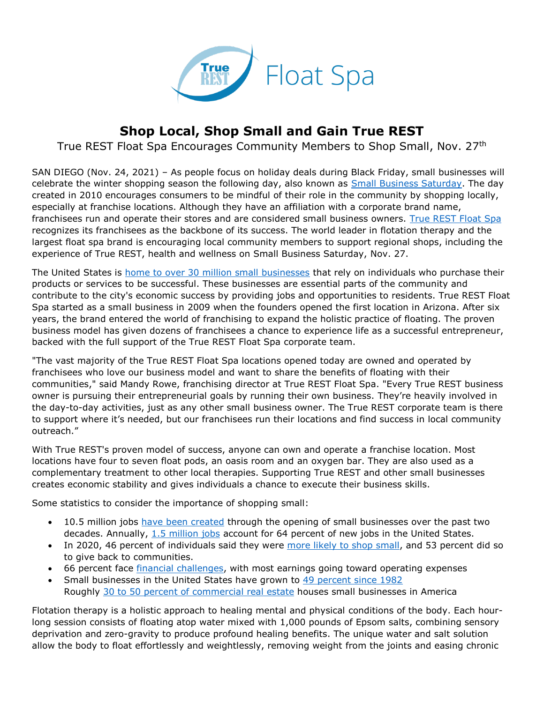

## **Shop Local, Shop Small and Gain True REST**

True REST Float Spa Encourages Community Members to Shop Small, Nov. 27th

SAN DIEGO (Nov. 24, 2021) – As people focus on holiday deals during Black Friday, small businesses will celebrate the winter shopping season the following day, also known as [Small Business Saturday.](https://www.americanexpress.com/us/small-business/shop-small/) The day created in 2010 encourages consumers to be mindful of their role in the community by shopping locally, especially at franchise locations. Although they have an affiliation with a corporate brand name, franchisees run and operate their stores and are considered small business owners. [True REST Float Spa](https://truerest.com/about-us/?utm_source=PR&utm_medium=True+REST+PR&utm_campaign=True+REST+SBS+Campaign&utm_content=Shop+Local%2C+Shop+Small+and+Gain+True+REST) recognizes its franchisees as the backbone of its success. The world leader in flotation therapy and the largest float spa brand is encouraging local community members to support regional shops, including the experience of True REST, health and wellness on Small Business Saturday, Nov. 27.

The United States is [home to over 30 million small businesses](https://cdn.advocacy.sba.gov/wp-content/uploads/2019/04/23142610/2019-Small-Business-Profiles-States-Territories.pdf) that rely on individuals who purchase their products or services to be successful. These businesses are essential parts of the community and contribute to the city's economic success by providing jobs and opportunities to residents. True REST Float Spa started as a small business in 2009 when the founders opened the first location in Arizona. After six years, the brand entered the world of franchising to expand the holistic practice of floating. The proven business model has given dozens of franchisees a chance to experience life as a successful entrepreneur, backed with the full support of the True REST Float Spa corporate team.

"The vast majority of the True REST Float Spa locations opened today are owned and operated by franchisees who love our business model and want to share the benefits of floating with their communities," said Mandy Rowe, franchising director at True REST Float Spa. "Every True REST business owner is pursuing their entrepreneurial goals by running their own business. They're heavily involved in the day-to-day activities, just as any other small business owner. The True REST corporate team is there to support where it's needed, but our franchisees run their locations and find success in local community outreach."

With True REST's proven model of success, anyone can own and operate a franchise location. Most locations have four to seven float pods, an oasis room and an oxygen bar. They are also used as a complementary treatment to other local therapies. Supporting True REST and other small businesses creates economic stability and gives individuals a chance to execute their business skills.

Some statistics to consider the importance of shopping small:

- 10.5 million jobs [have been created](https://www.nerdwallet.com/article/small-business/small-business-statistics) through the opening of small businesses over the past two decades. Annually, [1.5 million jobs](https://www.semrush.com/blog/small-business-stats/) account for 64 percent of new jobs in the United States.
- In 2020, 46 percent of individuals said they were [more likely to shop small,](https://www.retaildive.com/news/46-of-shoppers-more-likely-to-shop-small-this-year-survey/592369/) and 53 percent did so to give back to communities.
- 66 percent face [financial challenges,](https://www.datamangroup.com/small-businesses-by-the-numbers/) with most earnings going toward operating expenses
- Small businesses in the United States have grown to [49 percent since 1982](https://courses.lumenlearning.com/ivytech-introbusiness/chapter/reading-small-business-and-the-u-s-economy/) Roughly [30 to 50 percent of commercial real estate](https://www.bankofamerica.com/smallbusiness/business-financing/learn/intro-to-buying-commercial-property/) houses small businesses in America

Flotation therapy is a holistic approach to healing mental and physical conditions of the body. Each hourlong session consists of floating atop water mixed with 1,000 pounds of Epsom salts, combining sensory deprivation and zero-gravity to produce profound healing benefits. The unique water and salt solution allow the body to float effortlessly and weightlessly, removing weight from the joints and easing chronic